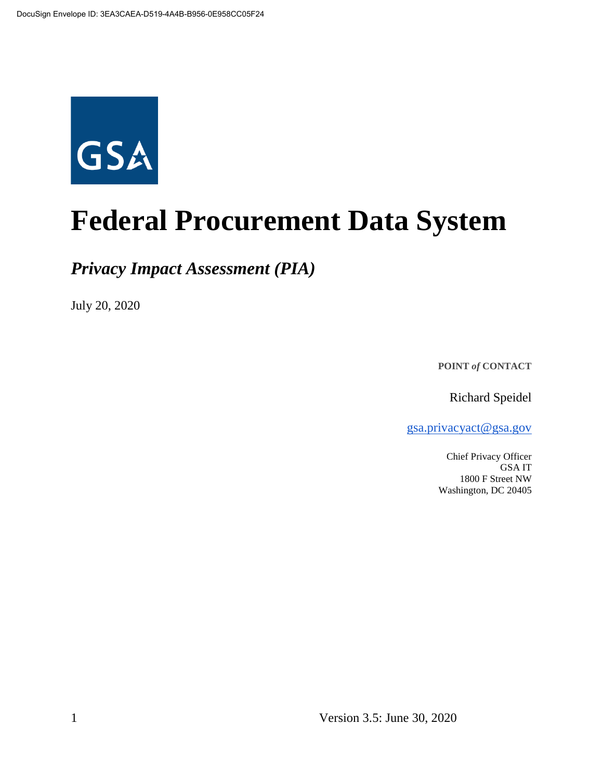

# **Federal Procurement Data System**

*Privacy Impact Assessment (PIA)*

July 20, 2020

**POINT** *of* **CONTACT**

Richard Speidel

[gsa.privacyact@gsa.gov](mailto:gsa.privacyact@gsa.gov)

Chief Privacy Officer GSA IT 1800 F Street NW Washington, DC 20405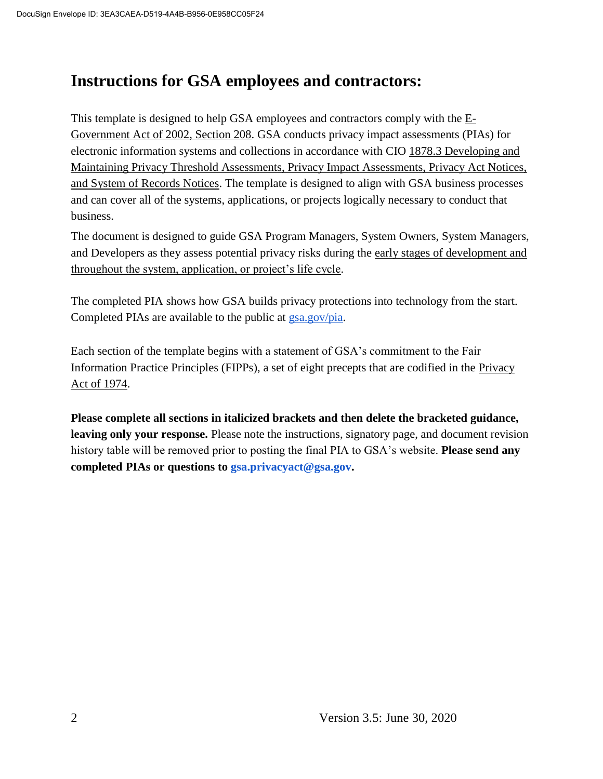# **Instructions for GSA employees and contractors:**

This t[e](https://www.justice.gov/opcl/e-government-act-2002)mplate is designed to help GSA employees and contractors comply with the  $E$ -[Government Act of 2002, Section 208.](https://www.justice.gov/opcl/e-government-act-2002) GSA conducts privacy impact assessments (PIAs) for electronic information systems and collections in accordance with [CIO 1878.3 Developing and](https://insite.gsa.gov/directives-library/developing-and-maintaining-privacy-threshold-assessments-privacy-impact-assessments-privacy-act-notices-and-system-of-records-notices-18783-cio)  [Maintaining Privacy Threshold Assessments, Privacy Impact Assessments, Privacy Act Notices,](https://insite.gsa.gov/directives-library/developing-and-maintaining-privacy-threshold-assessments-privacy-impact-assessments-privacy-act-notices-and-system-of-records-notices-18783-cio)  [and System of Records Notices.](https://insite.gsa.gov/directives-library/developing-and-maintaining-privacy-threshold-assessments-privacy-impact-assessments-privacy-act-notices-and-system-of-records-notices-18783-cio) The template is designed to align with GSA business processes and can cover all of the systems, applications, or projects logically necessary to conduct that business.

The document is designed to guide GSA Program Managers, System Owners, System Managers, and Developers as they assess potential privacy risks during th[e](https://insite.gsa.gov/cdnstatic/insite/Managing_Enterprise_Risk_%5BCIO_IT_Security_06-30_Rev_14%5D_02-01-2019.pdf) [early stages of development and](https://insite.gsa.gov/cdnstatic/insite/Managing_Enterprise_Risk_%5BCIO_IT_Security_06-30_Rev_14%5D_02-01-2019.pdf)  [throughout the system, application, or project's life cycle.](https://insite.gsa.gov/cdnstatic/insite/Managing_Enterprise_Risk_%5BCIO_IT_Security_06-30_Rev_14%5D_02-01-2019.pdf)

The completed PIA shows how GSA builds privacy protections into technology from the start. Completed PIAs are available to the public at [gsa.gov/pia.](https://www.gsa.gov/reference/gsa-privacy-program/privacy-impact-assessments-pia)

Each section of the template begins with a statement of GSA's commitment to the Fair Information Practice Principles (FIPPs), a set of eight precepts that are codified in the [Privacy](https://www.justice.gov/opcl/policy-objectives)  [Act of 1974.](https://www.justice.gov/opcl/policy-objectives)

**Please complete all sections in italicized brackets and then delete the bracketed guidance, leaving only your response.** Please note the instructions, signatory page, and document revision history table will be removed prior to posting the final PIA to GSA's website. **Please send any completed PIAs or questions to gsa.privacyact@gsa.gov.**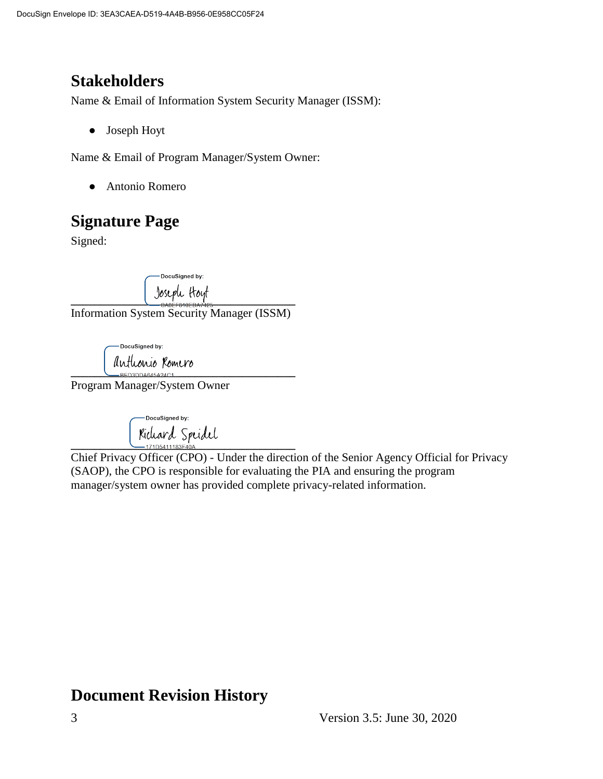# **Stakeholders**

Name & Email of Information System Security Manager (ISSM):

● Joseph Hoyt

Name & Email of Program Manager/System Owner:

● Antonio Romero

# **Signature Page**

Signed:

DocuSianed by: **\_\_\_\_\_\_\_\_\_\_\_\_\_\_\_\_\_\_\_\_\_\_\_\_\_\_\_\_\_\_\_\_\_\_\_\_\_\_**

Information System Security Manager (ISSM)

DocuSigned by: Anthonio Romero

Program Manager/System Owner

DocuSigned by: Kichard Spridel

Chief Privacy Officer (CPO) - Under the direction of the Senior Agency Official for Privacy (SAOP), the CPO is responsible for evaluating the PIA and ensuring the program manager/system owner has provided complete privacy-related information.

# **Document Revision History**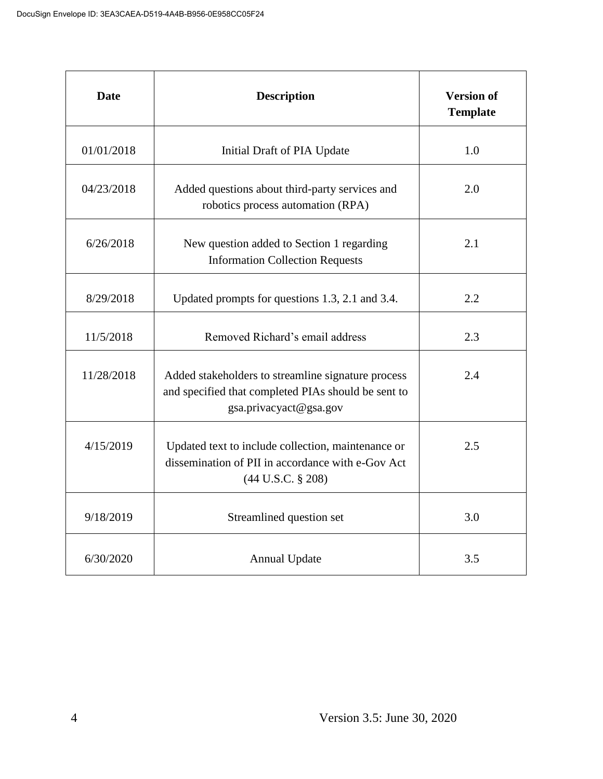| <b>Date</b> | <b>Description</b>                                                                                                                      | <b>Version of</b><br><b>Template</b> |
|-------------|-----------------------------------------------------------------------------------------------------------------------------------------|--------------------------------------|
| 01/01/2018  | Initial Draft of PIA Update                                                                                                             | 1.0                                  |
| 04/23/2018  | Added questions about third-party services and<br>robotics process automation (RPA)                                                     | 2.0                                  |
| 6/26/2018   | New question added to Section 1 regarding<br><b>Information Collection Requests</b>                                                     | 2.1                                  |
| 8/29/2018   | Updated prompts for questions 1.3, 2.1 and 3.4.                                                                                         | 2.2                                  |
| 11/5/2018   | Removed Richard's email address                                                                                                         | 2.3                                  |
| 11/28/2018  | Added stakeholders to streamline signature process<br>and specified that completed PIAs should be sent to<br>gsa.privacyact@gsa.gov     | 2.4                                  |
| 4/15/2019   | Updated text to include collection, maintenance or<br>dissemination of PII in accordance with e-Gov Act<br>$(44 \text{ U.S.C. } § 208)$ | 2.5                                  |
| 9/18/2019   | Streamlined question set                                                                                                                | 3.0                                  |
| 6/30/2020   | <b>Annual Update</b>                                                                                                                    | 3.5                                  |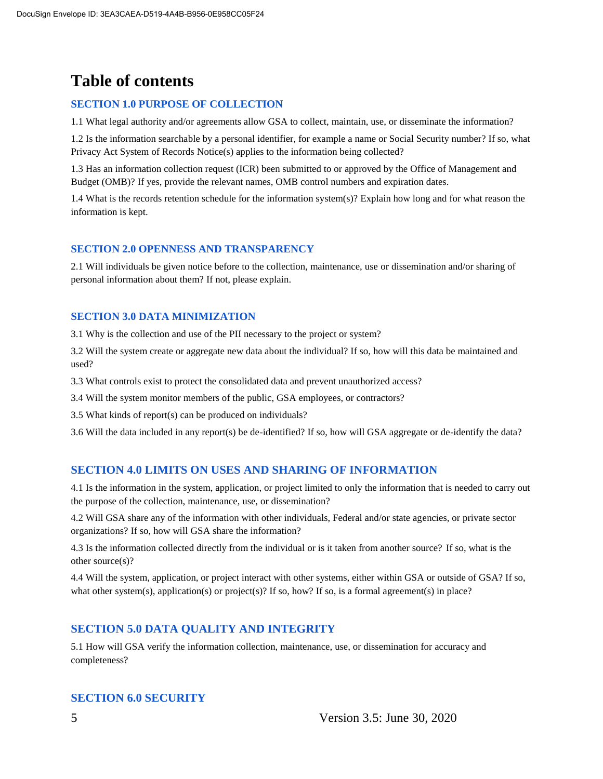# **Table of contents**

#### **SECTION 1.0 PURPOSE OF COLLECTION**

1.1 What legal authority and/or agreements allow GSA to collect, maintain, use, or disseminate the information?

1.2 Is the information searchable by a personal identifier, for example a name or Social Security number? If so, what Privacy Act System of Records Notice(s) applies to the information being collected?

1.3 Has an information collection request (ICR) been submitted to or approved by the Office of Management and Budget (OMB)? If yes, provide the relevant names, OMB control numbers and expiration dates.

1.4 What is the records retention schedule for the information system(s)? Explain how long and for what reason the information is kept.

#### **SECTION 2.0 OPENNESS AND TRANSPARENCY**

2.1 Will individuals be given notice before to the collection, maintenance, use or dissemination and/or sharing of personal information about them? If not, please explain.

#### **SECTION 3.0 DATA MINIMIZATION**

3.1 Why is the collection and use of the PII necessary to the project or system?

3.2 Will the system create or aggregate new data about the individual? If so, how will this data be maintained and used?

3.3 What controls exist to protect the consolidated data and prevent unauthorized access?

3.4 Will the system monitor members of the public, GSA employees, or contractors?

3.5 What kinds of report(s) can be produced on individuals?

3.6 Will the data included in any report(s) be de-identified? If so, how will GSA aggregate or de-identify the data?

#### **SECTION 4.0 LIMITS ON USES AND SHARING OF INFORMATION**

4.1 Is the information in the system, application, or project limited to only the information that is needed to carry out the purpose of the collection, maintenance, use, or dissemination?

4.2 Will GSA share any of the information with other individuals, Federal and/or state agencies, or private sector organizations? If so, how will GSA share the information?

4.3 Is the information collected directly from the individual or is it taken from another source? If so, what is the other source(s)?

4.4 Will the system, application, or project interact with other systems, either within GSA or outside of GSA? If so, what other system(s), application(s) or project(s)? If so, how? If so, is a formal agreement(s) in place?

#### **SECTION 5.0 DATA QUALITY AND INTEGRITY**

5.1 How will GSA verify the information collection, maintenance, use, or dissemination for accuracy and completeness?

#### **SECTION 6.0 SECURITY**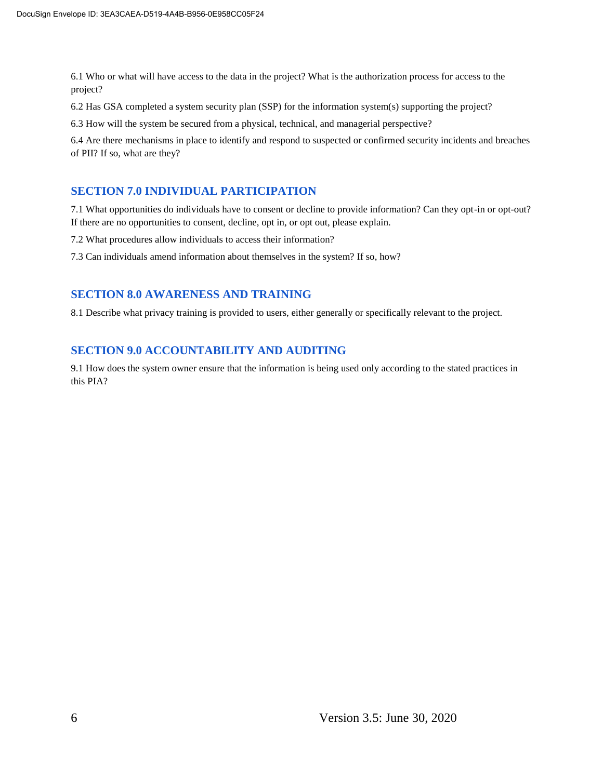6.1 Who or what will have access to the data in the project? What is the authorization process for access to the project?

6.2 Has GSA completed a system security plan (SSP) for the information system(s) supporting the project?

6.3 How will the system be secured from a physical, technical, and managerial perspective?

6.4 Are there mechanisms in place to identify and respond to suspected or confirmed security incidents and breaches of PII? If so, what are they?

#### **SECTION 7.0 INDIVIDUAL PARTICIPATION**

7.1 What opportunities do individuals have to consent or decline to provide information? Can they opt-in or opt-out? If there are no opportunities to consent, decline, opt in, or opt out, please explain.

7.2 What procedures allow individuals to access their information?

7.3 Can individuals amend information about themselves in the system? If so, how?

#### **SECTION 8.0 AWARENESS AND TRAINING**

8.1 Describe what privacy training is provided to users, either generally or specifically relevant to the project.

#### **SECTION 9.0 ACCOUNTABILITY AND AUDITING**

9.1 How does the system owner ensure that the information is being used only according to the stated practices in this PIA?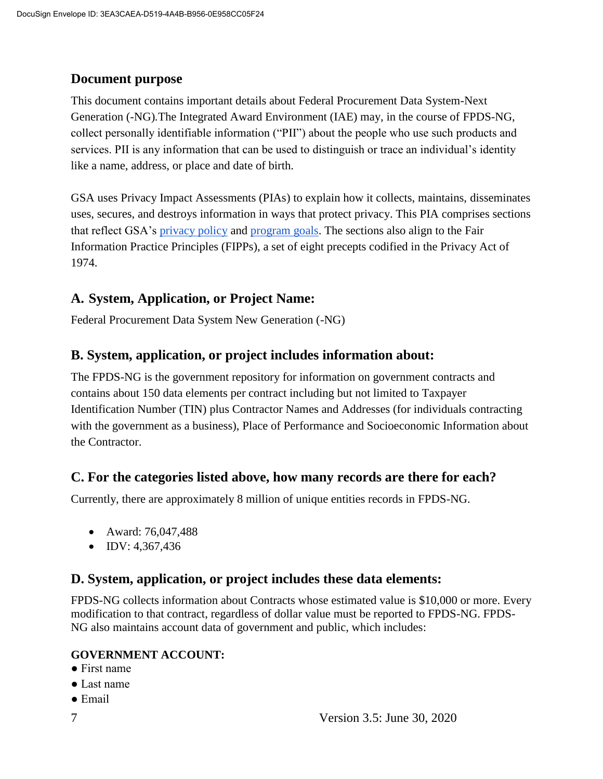#### **Document purpose**

This document contains important details about Federal Procurement Data System-Next Generation (-NG)*.*The Integrated Award Environment (IAE) may, in the course of FPDS-NG, collect personally identifiable information ("PII") about the people who use such products and services. PII is any information that can be used to distinguish or trace an individual's identity like a name, address, or place and date of birth.

GSA uses Privacy Impact Assessments (PIAs) to explain how it collects, maintains, disseminates uses, secures, and destroys information in ways that protect privacy. This PIA comprises sections that reflect GSA's [privacy policy](https://www.gsa.gov/website-information/privacy-and-security-notice) and [program goals.](https://www.gsa.gov/portal/category/21419) The sections also align to the Fair Information Practice Principles (FIPPs), a set of eight precepts codified in the Privacy Act of 1974.

#### **A. System, Application, or Project Name:**

Federal Procurement Data System New Generation (-NG)

#### **B. System, application, or project includes information about:**

The FPDS-NG is the government repository for information on government contracts and contains about 150 data elements per contract including but not limited to Taxpayer Identification Number (TIN) plus Contractor Names and Addresses (for individuals contracting with the government as a business), Place of Performance and Socioeconomic Information about the Contractor.

#### **C. For the categories listed above, how many records are there for each?**

Currently, there are approximately 8 million of unique entities records in FPDS-NG.

- Award: 76,047,488
- $\n \bullet \quad IDV: 4,367,436$

#### **D. System, application, or project includes these data elements:**

FPDS-NG collects information about Contracts whose estimated value is \$10,000 or more. Every modification to that contract, regardless of dollar value must be reported to FPDS-NG. FPDS-NG also maintains account data of government and public, which includes:

#### **GOVERNMENT ACCOUNT:**

- First name
- Last name
- Email
-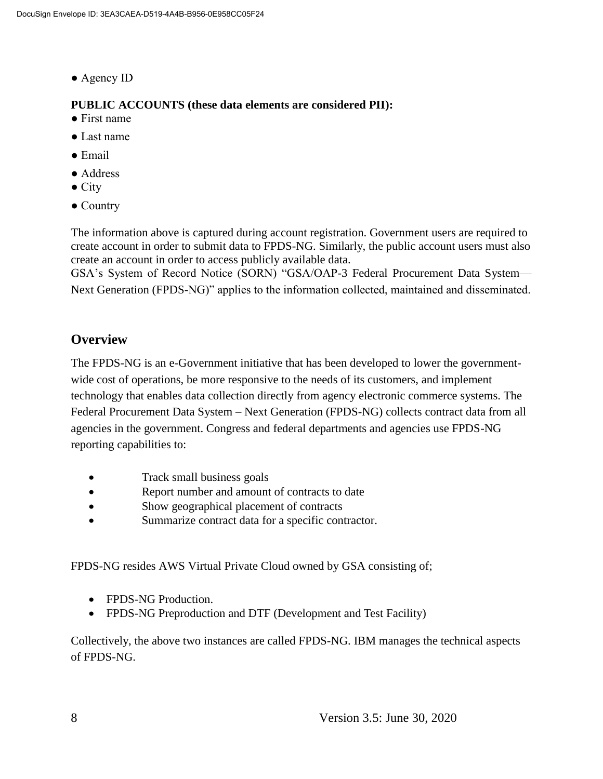● Agency ID

#### **PUBLIC ACCOUNTS (these data elements are considered PII):**

- First name
- Last name
- Email
- Address
- $\bullet$  City
- Country

The information above is captured during account registration. Government users are required to create account in order to submit data to FPDS-NG. Similarly, the public account users must also create an account in order to access publicly available data.

GSA's System of Record Notice (SORN) "GSA/OAP-3 Federal Procurement Data System— Next Generation (FPDS-NG)" applies to the information collected, maintained and disseminated.

#### **Overview**

The FPDS-NG is an e-Government initiative that has been developed to lower the governmentwide cost of operations, be more responsive to the needs of its customers, and implement technology that enables data collection directly from agency electronic commerce systems. The Federal Procurement Data System – Next Generation (FPDS-NG) collects contract data from all agencies in the government. Congress and federal departments and agencies use FPDS-NG reporting capabilities to:

- Track small business goals
- Report number and amount of contracts to date
- Show geographical placement of contracts
- Summarize contract data for a specific contractor.

FPDS-NG resides AWS Virtual Private Cloud owned by GSA consisting of;

- FPDS-NG Production.
- FPDS-NG Preproduction and DTF (Development and Test Facility)

Collectively, the above two instances are called FPDS-NG. IBM manages the technical aspects of FPDS-NG.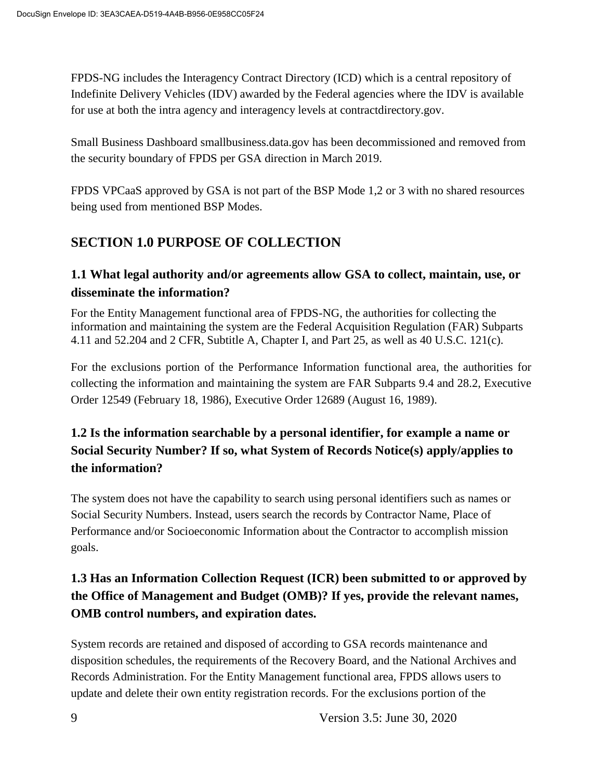FPDS-NG includes the Interagency Contract Directory (ICD) which is a central repository of Indefinite Delivery Vehicles (IDV) awarded by the Federal agencies where the IDV is available for use at both the intra agency and interagency levels at contractdirectory.gov.

Small Business Dashboard smallbusiness.data.gov has been decommissioned and removed from the security boundary of FPDS per GSA direction in March 2019.

FPDS VPCaaS approved by GSA is not part of the BSP Mode 1,2 or 3 with no shared resources being used from mentioned BSP Modes.

## **SECTION 1.0 PURPOSE OF COLLECTION**

#### **1.1 What legal authority and/or agreements allow GSA to collect, maintain, use, or disseminate the information?**

For the Entity Management functional area of FPDS-NG, the authorities for collecting the information and maintaining the system are the Federal Acquisition Regulation (FAR) Subparts 4.11 and 52.204 and 2 CFR, Subtitle A, Chapter I, and Part 25, as well as 40 U.S.C. 121(c).

For the exclusions portion of the Performance Information functional area, the authorities for collecting the information and maintaining the system are FAR Subparts 9.4 and 28.2, Executive Order 12549 (February 18, 1986), Executive Order 12689 (August 16, 1989).

## **1.2 Is the information searchable by a personal identifier, for example a name or Social Security Number? If so, what System of Records Notice(s) apply/applies to the information?**

The system does not have the capability to search using personal identifiers such as names or Social Security Numbers. Instead, users search the records by Contractor Name, Place of Performance and/or Socioeconomic Information about the Contractor to accomplish mission goals.

## **1.3 Has an Information Collection Request (ICR) been submitted to or approved by the Office of Management and Budget (OMB)? If yes, provide the relevant names, OMB control numbers, and expiration dates.**

System records are retained and disposed of according to GSA records maintenance and disposition schedules, the requirements of the Recovery Board, and the National Archives and Records Administration. For the Entity Management functional area, FPDS allows users to update and delete their own entity registration records. For the exclusions portion of the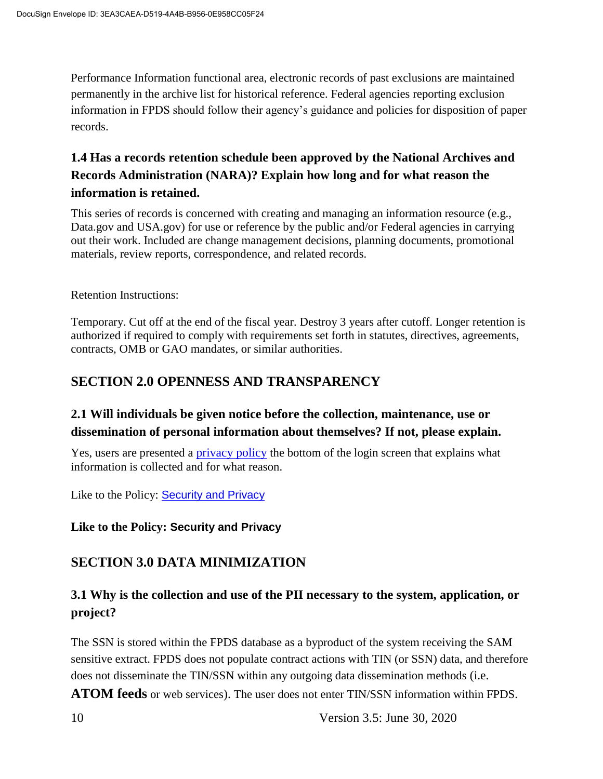Performance Information functional area, electronic records of past exclusions are maintained permanently in the archive list for historical reference. Federal agencies reporting exclusion information in FPDS should follow their agency's guidance and policies for disposition of paper records.

## **1.4 Has a records retention schedule been approved by the National Archives and Records Administration (NARA)? Explain how long and for what reason the information is retained.**

This series of records is concerned with creating and managing an information resource (e.g., Data.gov and USA.gov) for use or reference by the public and/or Federal agencies in carrying out their work. Included are change management decisions, planning documents, promotional materials, review reports, correspondence, and related records.

Retention Instructions:

Temporary. Cut off at the end of the fiscal year. Destroy 3 years after cutoff. Longer retention is authorized if required to comply with requirements set forth in statutes, directives, agreements, contracts, OMB or GAO mandates, or similar authorities.

#### **SECTION 2.0 OPENNESS AND TRANSPARENCY**

#### **2.1 Will individuals be given notice before the collection, maintenance, use or dissemination of personal information about themselves? If not, please explain.**

Yes, users are presented a [privacy policy](https://www.fpds.gov/fpdsng_cms/index.php/en/?view=article&id=53) the bottom of the login screen that explains what information is collected and for what reason.

Like to the Policy: [Security and Privacy](https://www.fpds.gov/common/jsp/SecurityPolicy.jsp)

**Like to the Policy: Security and Privacy** 

#### **SECTION 3.0 DATA MINIMIZATION**

#### **3.1 Why is the collection and use of the PII necessary to the system, application, or project?**

The SSN is stored within the FPDS database as a byproduct of the system receiving the SAM sensitive extract. FPDS does not populate contract actions with TIN (or SSN) data, and therefore does not disseminate the TIN/SSN within any outgoing data dissemination methods (i.e. **[ATOM feeds](https://www.fpds.gov/wiki/index.php/ATOM_Feed_FAQ)** or web services). The user does not enter TIN/SSN information within FPDS.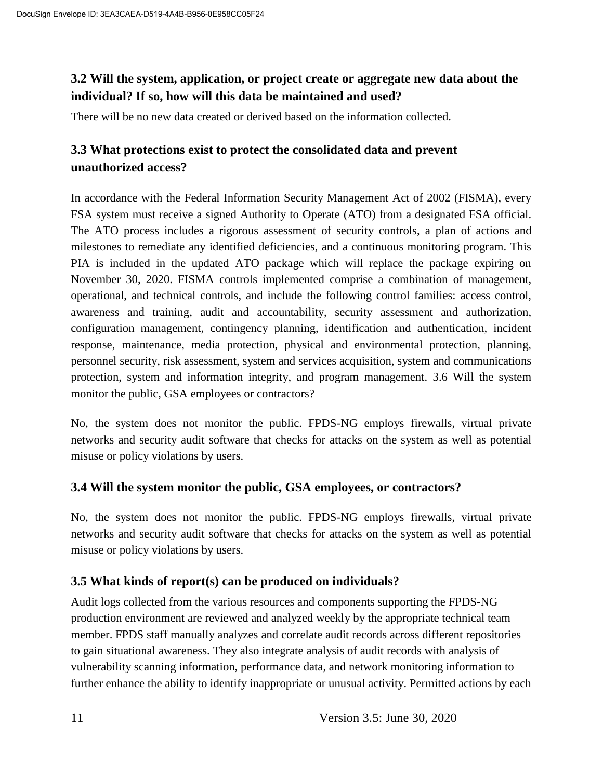#### **3.2 Will the system, application, or project create or aggregate new data about the individual? If so, how will this data be maintained and used?**

There will be no new data created or derived based on the information collected.

#### **3.3 What protections exist to protect the consolidated data and prevent unauthorized access?**

In accordance with the Federal Information Security Management Act of 2002 (FISMA), every FSA system must receive a signed Authority to Operate (ATO) from a designated FSA official. The ATO process includes a rigorous assessment of security controls, a plan of actions and milestones to remediate any identified deficiencies, and a continuous monitoring program. This PIA is included in the updated ATO package which will replace the package expiring on November 30, 2020. FISMA controls implemented comprise a combination of management, operational, and technical controls, and include the following control families: access control, awareness and training, audit and accountability, security assessment and authorization, configuration management, contingency planning, identification and authentication, incident response, maintenance, media protection, physical and environmental protection, planning, personnel security, risk assessment, system and services acquisition, system and communications protection, system and information integrity, and program management. 3.6 Will the system monitor the public, GSA employees or contractors?

No, the system does not monitor the public. FPDS-NG employs firewalls, virtual private networks and security audit software that checks for attacks on the system as well as potential misuse or policy violations by users.

#### **3.4 Will the system monitor the public, GSA employees, or contractors?**

No, the system does not monitor the public. FPDS-NG employs firewalls, virtual private networks and security audit software that checks for attacks on the system as well as potential misuse or policy violations by users.

#### **3.5 What kinds of report(s) can be produced on individuals?**

Audit logs collected from the various resources and components supporting the FPDS-NG production environment are reviewed and analyzed weekly by the appropriate technical team member. FPDS staff manually analyzes and correlate audit records across different repositories to gain situational awareness. They also integrate analysis of audit records with analysis of vulnerability scanning information, performance data, and network monitoring information to further enhance the ability to identify inappropriate or unusual activity. Permitted actions by each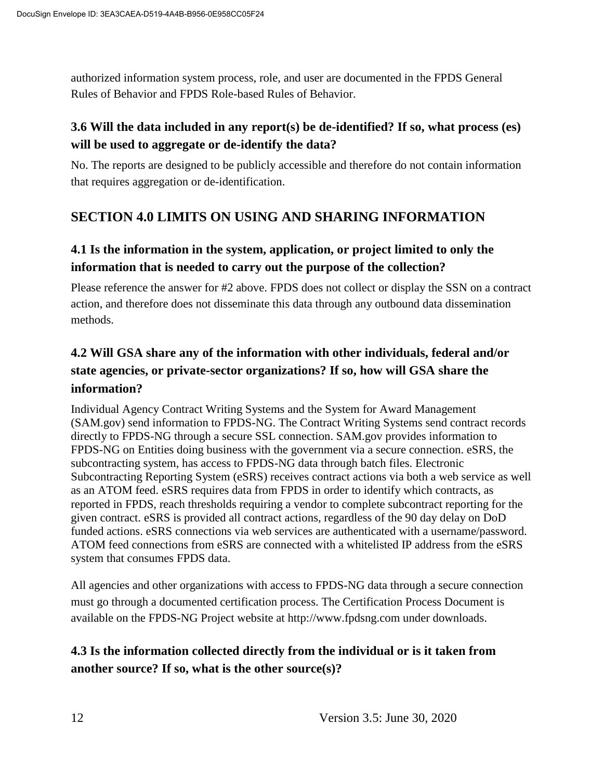authorized information system process, role, and user are documented in the FPDS General Rules of Behavior and FPDS Role-based Rules of Behavior.

## **3.6 Will the data included in any report(s) be de-identified? If so, what process (es) will be used to aggregate or de-identify the data?**

No. The reports are designed to be publicly accessible and therefore do not contain information that requires aggregation or de-identification.

## **SECTION 4.0 LIMITS ON USING AND SHARING INFORMATION**

## **4.1 Is the information in the system, application, or project limited to only the information that is needed to carry out the purpose of the collection?**

Please reference the answer for #2 above. FPDS does not collect or display the SSN on a contract action, and therefore does not disseminate this data through any outbound data dissemination methods.

## **4.2 Will GSA share any of the information with other individuals, federal and/or state agencies, or private-sector organizations? If so, how will GSA share the information?**

Individual Agency Contract Writing Systems and the System for Award Management (SAM.gov) send information to FPDS-NG. The Contract Writing Systems send contract records directly to FPDS-NG through a secure SSL connection. SAM.gov provides information to FPDS-NG on Entities doing business with the government via a secure connection. eSRS, the subcontracting system, has access to FPDS-NG data through batch files. Electronic Subcontracting Reporting System (eSRS) receives contract actions via both a web service as well as an ATOM feed. eSRS requires data from FPDS in order to identify which contracts, as reported in FPDS, reach thresholds requiring a vendor to complete subcontract reporting for the given contract. eSRS is provided all contract actions, regardless of the 90 day delay on DoD funded actions. eSRS connections via web services are authenticated with a username/password. ATOM feed connections from eSRS are connected with a whitelisted IP address from the eSRS system that consumes FPDS data.

All agencies and other organizations with access to FPDS-NG data through a secure connection must go through a documented certification process. The Certification Process Document is available on the FPDS-NG Project website at http://www.fpdsng.com under downloads.

## **4.3 Is the information collected directly from the individual or is it taken from another source? If so, what is the other source(s)?**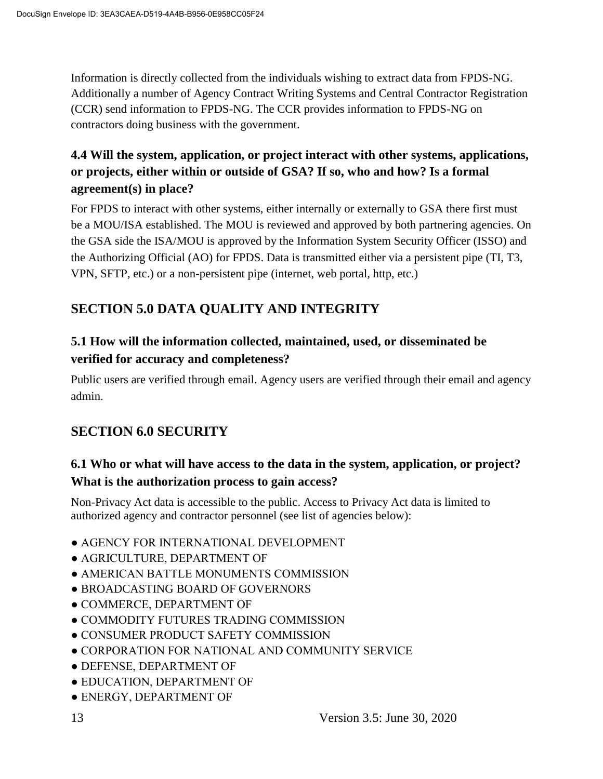Information is directly collected from the individuals wishing to extract data from FPDS-NG. Additionally a number of Agency Contract Writing Systems and Central Contractor Registration (CCR) send information to FPDS-NG. The CCR provides information to FPDS-NG on contractors doing business with the government.

## **4.4 Will the system, application, or project interact with other systems, applications, or projects, either within or outside of GSA? If so, who and how? Is a formal agreement(s) in place?**

For FPDS to interact with other systems, either internally or externally to GSA there first must be a MOU/ISA established. The MOU is reviewed and approved by both partnering agencies. On the GSA side the ISA/MOU is approved by the Information System Security Officer (ISSO) and the Authorizing Official (AO) for FPDS. Data is transmitted either via a persistent pipe (TI, T3, VPN, SFTP, etc.) or a non-persistent pipe (internet, web portal, http, etc.)

# **SECTION 5.0 DATA QUALITY AND INTEGRITY**

## **5.1 How will the information collected, maintained, used, or disseminated be verified for accuracy and completeness?**

Public users are verified through email. Agency users are verified through their email and agency admin.

## **SECTION 6.0 SECURITY**

## **6.1 Who or what will have access to the data in the system, application, or project? What is the authorization process to gain access?**

Non-Privacy Act data is accessible to the public. Access to Privacy Act data is limited to authorized agency and contractor personnel (see list of agencies below):

- AGENCY FOR INTERNATIONAL DEVELOPMENT
- AGRICULTURE, DEPARTMENT OF
- AMERICAN BATTLE MONUMENTS COMMISSION
- BROADCASTING BOARD OF GOVERNORS
- COMMERCE, DEPARTMENT OF
- COMMODITY FUTURES TRADING COMMISSION
- CONSUMER PRODUCT SAFETY COMMISSION
- CORPORATION FOR NATIONAL AND COMMUNITY SERVICE
- DEFENSE, DEPARTMENT OF
- EDUCATION, DEPARTMENT OF
- ENERGY, DEPARTMENT OF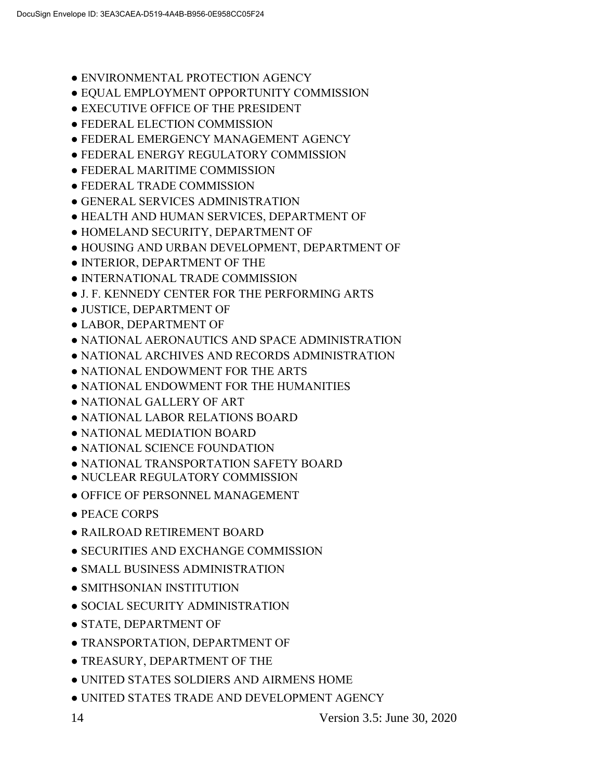- **ENVIRONMENTAL PROTECTION AGENCY**
- EQUAL EMPLOYMENT OPPORTUNITY COMMISSION
- EXECUTIVE OFFICE OF THE PRESIDENT
- FEDERAL ELECTION COMMISSION
- FEDERAL EMERGENCY MANAGEMENT AGENCY
- FEDERAL ENERGY REGULATORY COMMISSION
- FEDERAL MARITIME COMMISSION
- FEDERAL TRADE COMMISSION
- GENERAL SERVICES ADMINISTRATION
- HEALTH AND HUMAN SERVICES, DEPARTMENT OF
- HOMELAND SECURITY, DEPARTMENT OF
- HOUSING AND URBAN DEVELOPMENT, DEPARTMENT OF
- INTERIOR, DEPARTMENT OF THE
- INTERNATIONAL TRADE COMMISSION
- J. F. KENNEDY CENTER FOR THE PERFORMING ARTS
- JUSTICE, DEPARTMENT OF
- LABOR, DEPARTMENT OF
- NATIONAL AERONAUTICS AND SPACE ADMINISTRATION
- NATIONAL ARCHIVES AND RECORDS ADMINISTRATION
- NATIONAL ENDOWMENT FOR THE ARTS
- NATIONAL ENDOWMENT FOR THE HUMANITIES
- NATIONAL GALLERY OF ART
- NATIONAL LABOR RELATIONS BOARD
- NATIONAL MEDIATION BOARD
- NATIONAL SCIENCE FOUNDATION
- NATIONAL TRANSPORTATION SAFETY BOARD
- NUCLEAR REGULATORY COMMISSION
- OFFICE OF PERSONNEL MANAGEMENT
- PEACE CORPS
- RAILROAD RETIREMENT BOARD
- SECURITIES AND EXCHANGE COMMISSION
- SMALL BUSINESS ADMINISTRATION
- SMITHSONIAN INSTITUTION
- SOCIAL SECURITY ADMINISTRATION
- STATE, DEPARTMENT OF
- TRANSPORTATION, DEPARTMENT OF
- TREASURY, DEPARTMENT OF THE
- UNITED STATES SOLDIERS AND AIRMENS HOME
- UNITED STATES TRADE AND DEVELOPMENT AGENCY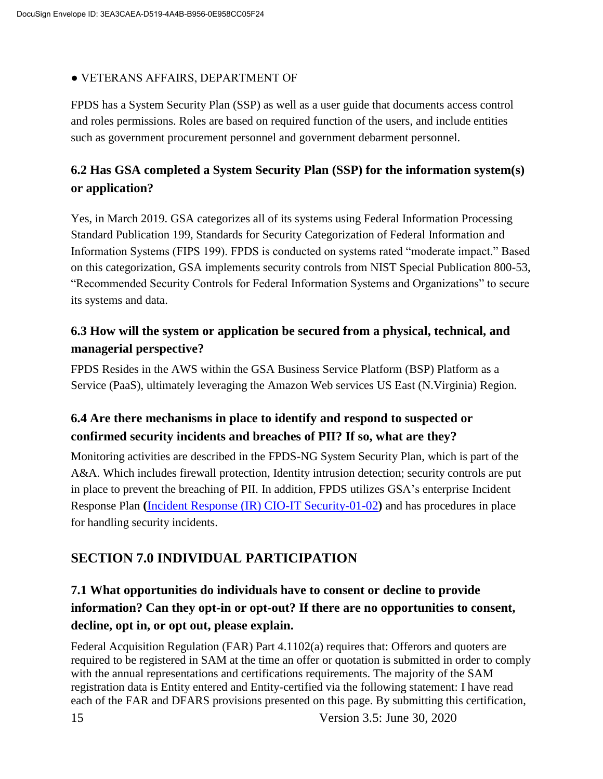#### ● VETERANS AFFAIRS, DEPARTMENT OF

FPDS has a System Security Plan (SSP) as well as a user guide that documents access control and roles permissions. Roles are based on required function of the users, and include entities such as government procurement personnel and government debarment personnel.

#### **6.2 Has GSA completed a System Security Plan (SSP) for the information system(s) or application?**

Yes, in March 2019. GSA categorizes all of its systems using Federal Information Processing Standard Publication 199, Standards for Security Categorization of Federal Information and Information Systems (FIPS 199). FPDS is conducted on systems rated "moderate impact." Based on this categorization, GSA implements security controls from NIST Special Publication 800-53, "Recommended Security Controls for Federal Information Systems and Organizations" to secure its systems and data.

#### **6.3 How will the system or application be secured from a physical, technical, and managerial perspective?**

FPDS Resides in the AWS within the GSA Business Service Platform (BSP) Platform as a Service (PaaS), ultimately leveraging the Amazon Web services US East (N.Virginia) Region*.*

#### **6.4 Are there mechanisms in place to identify and respond to suspected or confirmed security incidents and breaches of PII? If so, what are they?**

Monitoring activities are described in the FPDS-NG System Security Plan, which is part of the A&A. Which includes firewall protection, Identity intrusion detection; security controls are put in place to prevent the breaching of PII. In addition, FPDS utilizes GSA's enterprise Incident Response Plan **(**[Incident Response \(IR\) CIO-IT Security-01-02](https://insite.gsa.gov/cdnstatic/insite/Incident_Response_%28IR%29_%5BCIO_IT_Security_01-02_Rev_17%5D_03-20-2019_Signed_BB.pdf)**)** and has procedures in place for handling security incidents.

#### **SECTION 7.0 INDIVIDUAL PARTICIPATION**

## **7.1 What opportunities do individuals have to consent or decline to provide information? Can they opt-in or opt-out? If there are no opportunities to consent, decline, opt in, or opt out, please explain.**

Federal Acquisition Regulation (FAR) Part 4.1102(a) requires that: Offerors and quoters are required to be registered in SAM at the time an offer or quotation is submitted in order to comply with the annual representations and certifications requirements. The majority of the SAM registration data is Entity entered and Entity-certified via the following statement: I have read each of the FAR and DFARS provisions presented on this page. By submitting this certification,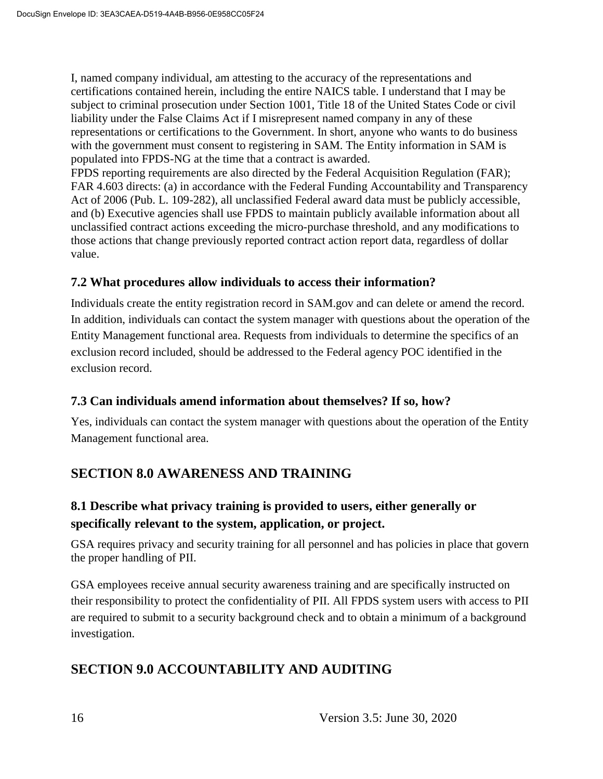I, named company individual, am attesting to the accuracy of the representations and certifications contained herein, including the entire NAICS table. I understand that I may be subject to criminal prosecution under Section 1001, Title 18 of the United States Code or civil liability under the False Claims Act if I misrepresent named company in any of these representations or certifications to the Government. In short, anyone who wants to do business with the government must consent to registering in SAM. The Entity information in SAM is populated into FPDS-NG at the time that a contract is awarded.

FPDS reporting requirements are also directed by the Federal Acquisition Regulation (FAR); FAR 4.603 directs: (a) in accordance with the Federal Funding Accountability and Transparency Act of 2006 (Pub. L. 109-282), all unclassified Federal award data must be publicly accessible, and (b) Executive agencies shall use FPDS to maintain publicly available information about all unclassified contract actions exceeding the micro-purchase threshold, and any modifications to those actions that change previously reported contract action report data, regardless of dollar value.

#### **7.2 What procedures allow individuals to access their information?**

Individuals create the entity registration record in SAM.gov and can delete or amend the record. In addition, individuals can contact the system manager with questions about the operation of the Entity Management functional area. Requests from individuals to determine the specifics of an exclusion record included, should be addressed to the Federal agency POC identified in the exclusion record.

#### **7.3 Can individuals amend information about themselves? If so, how?**

Yes, individuals can contact the system manager with questions about the operation of the Entity Management functional area.

#### **SECTION 8.0 AWARENESS AND TRAINING**

#### **8.1 Describe what privacy training is provided to users, either generally or specifically relevant to the system, application, or project.**

GSA requires privacy and security training for all personnel and has policies in place that govern the proper handling of PII.

GSA employees receive annual security awareness training and are specifically instructed on their responsibility to protect the confidentiality of PII. All FPDS system users with access to PII are required to submit to a security background check and to obtain a minimum of a background investigation.

#### **SECTION 9.0 ACCOUNTABILITY AND AUDITING**